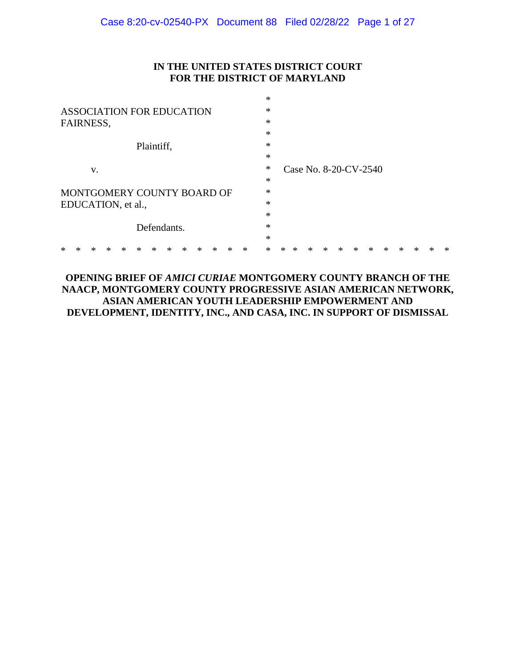## **IN THE UNITED STATES DISTRICT COURT FOR THE DISTRICT OF MARYLAND**

\*

| <b>ASSOCIATION FOR EDUCATION</b>               | $\ast$                               |
|------------------------------------------------|--------------------------------------|
| FAIRNESS,                                      | $\ast$                               |
|                                                | $\ast$                               |
| Plaintiff,                                     | $\ast$                               |
|                                                | $\ast$                               |
| V.                                             | $\ast$<br>Case No. 8-20-CV-2540      |
|                                                | $\ast$                               |
| MONTGOMERY COUNTY BOARD OF                     | $\ast$                               |
| EDUCATION, et al.,                             | $\ast$                               |
|                                                | $\ast$                               |
| Defendants.                                    | $\ast$                               |
|                                                | $\ast$                               |
| *<br>*<br>∗<br>∗<br>×<br>×<br>×<br>ж<br>∗<br>∗ | $\ast$<br>*<br>∗<br>∗<br>∗<br>ж<br>ж |

## **OPENING BRIEF OF** *AMICI CURIAE* **MONTGOMERY COUNTY BRANCH OF THE NAACP, MONTGOMERY COUNTY PROGRESSIVE ASIAN AMERICAN NETWORK, ASIAN AMERICAN YOUTH LEADERSHIP EMPOWERMENT AND DEVELOPMENT, IDENTITY, INC., AND CASA, INC. IN SUPPORT OF DISMISSAL**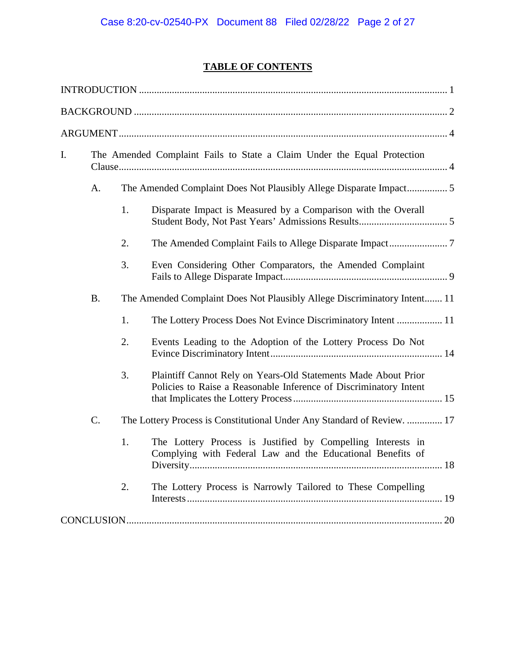# **TABLE OF CONTENTS**

| I.        | The Amended Complaint Fails to State a Claim Under the Equal Protection  |                                                                                                                                     |  |
|-----------|--------------------------------------------------------------------------|-------------------------------------------------------------------------------------------------------------------------------------|--|
|           | A.                                                                       |                                                                                                                                     |  |
|           | 1.                                                                       | Disparate Impact is Measured by a Comparison with the Overall                                                                       |  |
|           | 2.                                                                       |                                                                                                                                     |  |
|           | 3.                                                                       | Even Considering Other Comparators, the Amended Complaint                                                                           |  |
| <b>B.</b> | The Amended Complaint Does Not Plausibly Allege Discriminatory Intent 11 |                                                                                                                                     |  |
|           | 1.                                                                       | The Lottery Process Does Not Evince Discriminatory Intent  11                                                                       |  |
|           | 2.                                                                       | Events Leading to the Adoption of the Lottery Process Do Not                                                                        |  |
|           | 3.                                                                       | Plaintiff Cannot Rely on Years-Old Statements Made About Prior<br>Policies to Raise a Reasonable Inference of Discriminatory Intent |  |
| C.        |                                                                          | The Lottery Process is Constitutional Under Any Standard of Review.  17                                                             |  |
|           | 1.                                                                       | The Lottery Process is Justified by Compelling Interests in<br>Complying with Federal Law and the Educational Benefits of           |  |
|           | 2.                                                                       | The Lottery Process is Narrowly Tailored to These Compelling                                                                        |  |
|           |                                                                          |                                                                                                                                     |  |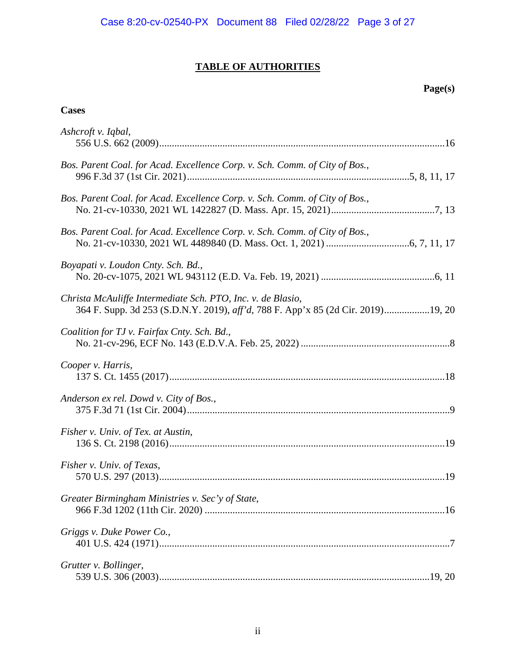## **TABLE OF AUTHORITIES**

## **Page(s)**

## **Cases**

| Ashcroft v. Iqbal,                                                                                                                              |
|-------------------------------------------------------------------------------------------------------------------------------------------------|
| Bos. Parent Coal. for Acad. Excellence Corp. v. Sch. Comm. of City of Bos.,                                                                     |
| Bos. Parent Coal. for Acad. Excellence Corp. v. Sch. Comm. of City of Bos.,                                                                     |
| Bos. Parent Coal. for Acad. Excellence Corp. v. Sch. Comm. of City of Bos.,                                                                     |
| Boyapati v. Loudon Cnty. Sch. Bd.,                                                                                                              |
| Christa McAuliffe Intermediate Sch. PTO, Inc. v. de Blasio,<br>364 F. Supp. 3d 253 (S.D.N.Y. 2019), aff'd, 788 F. App'x 85 (2d Cir. 2019)19, 20 |
| Coalition for TJ v. Fairfax Cnty. Sch. Bd.,                                                                                                     |
| Cooper v. Harris,                                                                                                                               |
| Anderson ex rel. Dowd v. City of Bos.,                                                                                                          |
| Fisher v. Univ. of Tex. at Austin,                                                                                                              |
| Fisher v. Univ. of Texas,                                                                                                                       |
| Greater Birmingham Ministries v. Sec'y of State,                                                                                                |
| Griggs v. Duke Power Co.,                                                                                                                       |
| Grutter v. Bollinger,                                                                                                                           |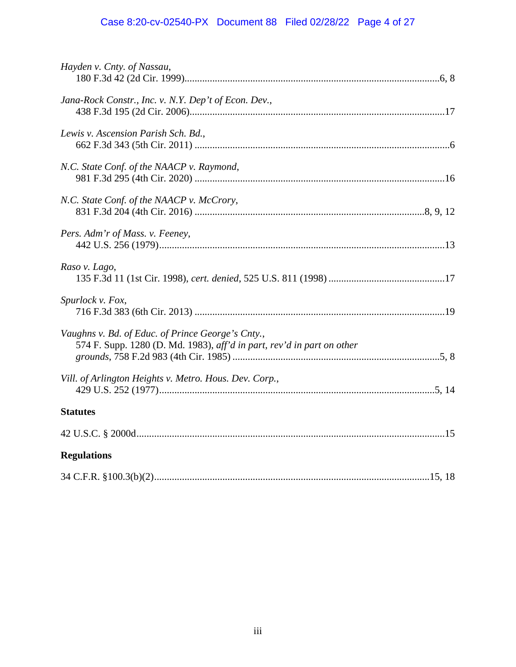# Case 8:20-cv-02540-PX Document 88 Filed 02/28/22 Page 4 of 27

| Hayden v. Cnty. of Nassau,                                                                                                  |  |
|-----------------------------------------------------------------------------------------------------------------------------|--|
| Jana-Rock Constr., Inc. v. N.Y. Dep't of Econ. Dev.,                                                                        |  |
| Lewis v. Ascension Parish Sch. Bd.,                                                                                         |  |
| N.C. State Conf. of the NAACP v. Raymond,                                                                                   |  |
| N.C. State Conf. of the NAACP v. McCrory,                                                                                   |  |
| Pers. Adm'r of Mass. v. Feeney,                                                                                             |  |
| Raso v. Lago,                                                                                                               |  |
| Spurlock v. Fox,                                                                                                            |  |
| Vaughns v. Bd. of Educ. of Prince George's Cnty.,<br>574 F. Supp. 1280 (D. Md. 1983), aff'd in part, rev'd in part on other |  |
| Vill. of Arlington Heights v. Metro. Hous. Dev. Corp.,                                                                      |  |
| <b>Statutes</b>                                                                                                             |  |
|                                                                                                                             |  |
| <b>Regulations</b>                                                                                                          |  |
|                                                                                                                             |  |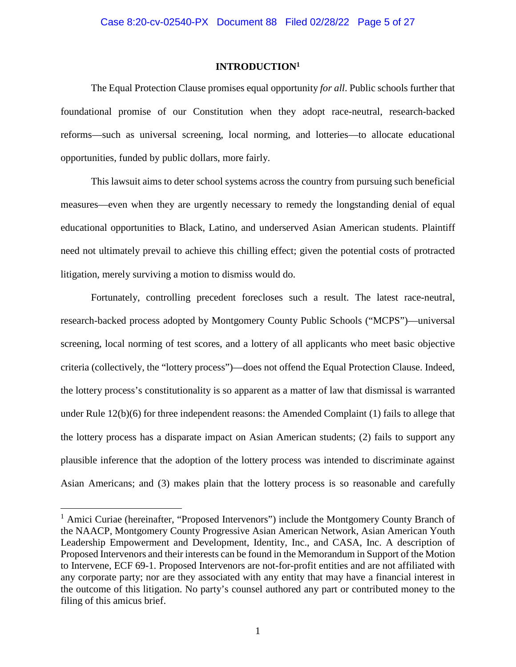#### **INTRODUCTION<sup>1</sup>**

<span id="page-4-0"></span>The Equal Protection Clause promises equal opportunity *for all*. Public schools further that foundational promise of our Constitution when they adopt race-neutral, research-backed reforms—such as universal screening, local norming, and lotteries—to allocate educational opportunities, funded by public dollars, more fairly.

This lawsuit aims to deter school systems across the country from pursuing such beneficial measures—even when they are urgently necessary to remedy the longstanding denial of equal educational opportunities to Black, Latino, and underserved Asian American students. Plaintiff need not ultimately prevail to achieve this chilling effect; given the potential costs of protracted litigation, merely surviving a motion to dismiss would do.

Fortunately, controlling precedent forecloses such a result. The latest race-neutral, research-backed process adopted by Montgomery County Public Schools ("MCPS")—universal screening, local norming of test scores, and a lottery of all applicants who meet basic objective criteria (collectively, the "lottery process")—does not offend the Equal Protection Clause. Indeed, the lottery process's constitutionality is so apparent as a matter of law that dismissal is warranted under Rule 12(b)(6) for three independent reasons: the Amended Complaint (1) fails to allege that the lottery process has a disparate impact on Asian American students; (2) fails to support any plausible inference that the adoption of the lottery process was intended to discriminate against Asian Americans; and (3) makes plain that the lottery process is so reasonable and carefully

<sup>&</sup>lt;sup>1</sup> Amici Curiae (hereinafter, "Proposed Intervenors") include the Montgomery County Branch of the NAACP, Montgomery County Progressive Asian American Network, Asian American Youth Leadership Empowerment and Development, Identity, Inc., and CASA, Inc. A description of Proposed Intervenors and their interests can be found in the Memorandum in Support of the Motion to Intervene, ECF 69-1. Proposed Intervenors are not-for-profit entities and are not affiliated with any corporate party; nor are they associated with any entity that may have a financial interest in the outcome of this litigation. No party's counsel authored any part or contributed money to the filing of this amicus brief.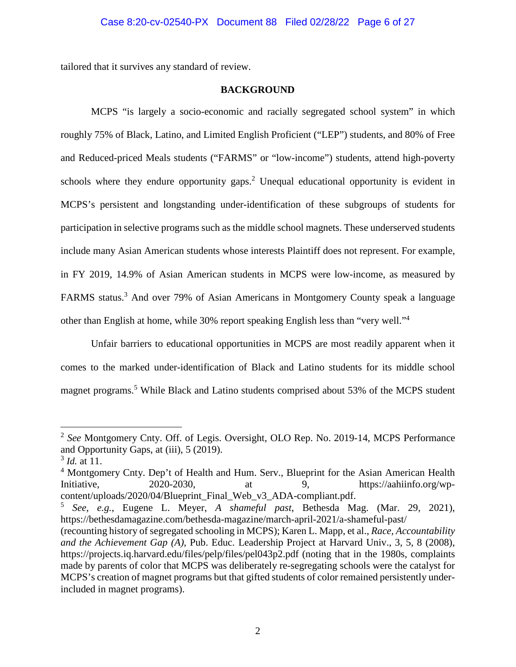<span id="page-5-0"></span>tailored that it survives any standard of review.

## **BACKGROUND**

MCPS "is largely a socio-economic and racially segregated school system" in which roughly 75% of Black, Latino, and Limited English Proficient ("LEP") students, and 80% of Free and Reduced-priced Meals students ("FARMS" or "low-income") students, attend high-poverty schools where they endure opportunity gaps.<sup>2</sup> Unequal educational opportunity is evident in MCPS's persistent and longstanding under-identification of these subgroups of students for participation in selective programs such as the middle school magnets. These underserved students include many Asian American students whose interests Plaintiff does not represent. For example, in FY 2019, 14.9% of Asian American students in MCPS were low-income, as measured by FARMS status.<sup>3</sup> And over 79% of Asian Americans in Montgomery County speak a language other than English at home, while 30% report speaking English less than "very well."<sup>4</sup>

Unfair barriers to educational opportunities in MCPS are most readily apparent when it comes to the marked under-identification of Black and Latino students for its middle school magnet programs.<sup>5</sup> While Black and Latino students comprised about 53% of the MCPS student

<sup>2</sup> *See* Montgomery Cnty. Off. of Legis. Oversight, OLO Rep. No. 2019-14, MCPS Performance and Opportunity Gaps, at (iii), 5 (2019).

<sup>3</sup> *Id.* at 11.

<sup>&</sup>lt;sup>4</sup> Montgomery Cnty. Dep't of Health and Hum. Serv., Blueprint for the Asian American Health Initiative, 2020-2030, at 9, https://aahiinfo.org/wpcontent/uploads/2020/04/Blueprint\_Final\_Web\_v3\_ADA-compliant.pdf.

<sup>5</sup> *See, e.g.*, Eugene L. Meyer, *A shameful past*, Bethesda Mag. (Mar. 29, 2021), https://bethesdamagazine.com/bethesda-magazine/march-april-2021/a-shameful-past/

<sup>(</sup>recounting history of segregated schooling in MCPS); Karen L. Mapp, et al., *Race, Accountability and the Achievement Gap (A)*, Pub. Educ. Leadership Project at Harvard Univ., 3, 5, 8 (2008), https://projects.iq.harvard.edu/files/pelp/files/pel043p2.pdf (noting that in the 1980s, complaints made by parents of color that MCPS was deliberately re-segregating schools were the catalyst for MCPS's creation of magnet programs but that gifted students of color remained persistently underincluded in magnet programs).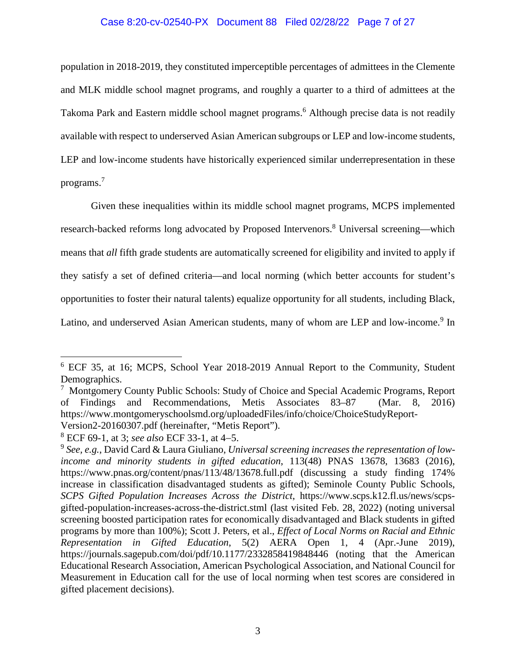## Case 8:20-cv-02540-PX Document 88 Filed 02/28/22 Page 7 of 27

population in 2018-2019, they constituted imperceptible percentages of admittees in the Clemente and MLK middle school magnet programs, and roughly a quarter to a third of admittees at the Takoma Park and Eastern middle school magnet programs.<sup>6</sup> Although precise data is not readily available with respect to underserved Asian American subgroups or LEP and low-income students, LEP and low-income students have historically experienced similar underrepresentation in these programs.<sup>7</sup>

Given these inequalities within its middle school magnet programs, MCPS implemented research-backed reforms long advocated by Proposed Intervenors.<sup>8</sup> Universal screening—which means that *all* fifth grade students are automatically screened for eligibility and invited to apply if they satisfy a set of defined criteria—and local norming (which better accounts for student's opportunities to foster their natural talents) equalize opportunity for all students, including Black, Latino, and underserved Asian American students, many of whom are LEP and low-income.<sup>9</sup> In

<sup>6</sup> ECF 35, at 16; MCPS, School Year 2018-2019 Annual Report to the Community, Student Demographics.

<sup>&</sup>lt;sup>7</sup> Montgomery County Public Schools: Study of Choice and Special Academic Programs, Report of Findings and Recommendations, Metis Associates 83–87 (Mar. 8, 2016) https://www.montgomeryschoolsmd.org/uploadedFiles/info/choice/ChoiceStudyReport-Version2-20160307.pdf (hereinafter, "Metis Report").

<sup>&</sup>lt;sup>8</sup> ECF 69-1, at 3; *see also* ECF 33-1, at 4–5.

<sup>9</sup> *See, e.g.*, David Card & Laura Giuliano, *Universal screening increases the representation of lowincome and minority students in gifted education*, 113(48) PNAS 13678, 13683 (2016), https://www.pnas.org/content/pnas/113/48/13678.full.pdf (discussing a study finding 174% increase in classification disadvantaged students as gifted); Seminole County Public Schools, *SCPS Gifted Population Increases Across the District*, https://www.scps.k12.fl.us/news/scpsgifted-population-increases-across-the-district.stml (last visited Feb. 28, 2022) (noting universal screening boosted participation rates for economically disadvantaged and Black students in gifted programs by more than 100%); Scott J. Peters, et al., *Effect of Local Norms on Racial and Ethnic Representation in Gifted Education*, 5(2) AERA Open 1, 4 (Apr.-June 2019), https://journals.sagepub.com/doi/pdf/10.1177/2332858419848446 (noting that the American Educational Research Association, American Psychological Association, and National Council for Measurement in Education call for the use of local norming when test scores are considered in gifted placement decisions).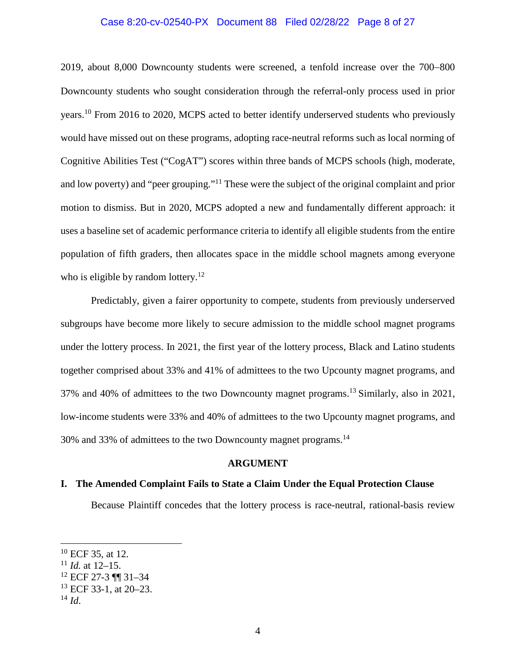#### Case 8:20-cv-02540-PX Document 88 Filed 02/28/22 Page 8 of 27

 $2019$ , about 8,000 Downcounty students were screened, a tenfold increase over the  $700-800$ Downcounty students who sought consideration through the referral-only process used in prior years.<sup>10</sup> From 2016 to 2020, MCPS acted to better identify underserved students who previously would have missed out on these programs, adopting race-neutral reforms such as local norming of Cognitive Abilities Test ("CogAT") scores within three bands of MCPS schools (high, moderate, and low poverty) and "peer grouping."<sup>11</sup> These were the subject of the original complaint and prior motion to dismiss. But in 2020, MCPS adopted a new and fundamentally different approach: it uses a baseline set of academic performance criteria to identify all eligible students from the entire population of fifth graders, then allocates space in the middle school magnets among everyone who is eligible by random lottery. $12$ 

Predictably, given a fairer opportunity to compete, students from previously underserved subgroups have become more likely to secure admission to the middle school magnet programs under the lottery process. In 2021, the first year of the lottery process, Black and Latino students together comprised about 33% and 41% of admittees to the two Upcounty magnet programs, and 37% and 40% of admittees to the two Downcounty magnet programs.<sup>13</sup>Similarly, also in 2021, low-income students were 33% and 40% of admittees to the two Upcounty magnet programs, and 30% and 33% of admittees to the two Downcounty magnet programs.<sup>14</sup>

### **ARGUMENT**

#### <span id="page-7-1"></span><span id="page-7-0"></span>**I. The Amended Complaint Fails to State a Claim Under the Equal Protection Clause**

Because Plaintiff concedes that the lottery process is race-neutral, rational-basis review

<sup>10</sup> ECF 35, at 12.

<sup>11</sup> *Id.* at 12–15.

<sup>12</sup> ECF 27-3 ¶¶ 31–34

<sup>13</sup> ECF 33-1, at 20–23.

 $^{14}$  *Id.*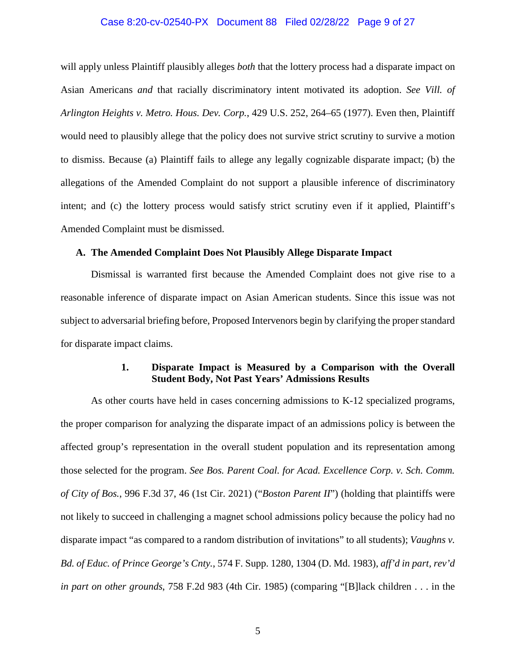#### <span id="page-8-4"></span>Case 8:20-cv-02540-PX Document 88 Filed 02/28/22 Page 9 of 27

will apply unless Plaintiff plausibly alleges *both* that the lottery process had a disparate impact on Asian Americans *and* that racially discriminatory intent motivated its adoption. *See Vill. of Arlington Heights v. Metro. Hous. Dev. Corp.*, 429 U.S. 252, 264–65 (1977). Even then, Plaintiff would need to plausibly allege that the policy does not survive strict scrutiny to survive a motion to dismiss. Because (a) Plaintiff fails to allege any legally cognizable disparate impact; (b) the allegations of the Amended Complaint do not support a plausible inference of discriminatory intent; and (c) the lottery process would satisfy strict scrutiny even if it applied, Plaintiff's Amended Complaint must be dismissed.

#### <span id="page-8-0"></span>**A. The Amended Complaint Does Not Plausibly Allege Disparate Impact**

Dismissal is warranted first because the Amended Complaint does not give rise to a reasonable inference of disparate impact on Asian American students. Since this issue was not subject to adversarial briefing before, Proposed Intervenors begin by clarifying the proper standard for disparate impact claims.

## <span id="page-8-3"></span><span id="page-8-2"></span>**1. Disparate Impact is Measured by a Comparison with the Overall Student Body, Not Past Years' Admissions Results**

<span id="page-8-1"></span>As other courts have held in cases concerning admissions to K-12 specialized programs, the proper comparison for analyzing the disparate impact of an admissions policy is between the affected group's representation in the overall student population and its representation among those selected for the program. *See Bos. Parent Coal. for Acad. Excellence Corp. v. Sch. Comm. of City of Bos.*, 996 F.3d 37, 46 (1st Cir. 2021) ("*Boston Parent II*") (holding that plaintiffs were not likely to succeed in challenging a magnet school admissions policy because the policy had no disparate impact "as compared to a random distribution of invitations" to all students); *Vaughns v. Bd. of Educ. of Prince George's Cnty.*, 574 F. Supp. 1280, 1304 (D. Md. 1983), *aff'd in part, rev'd in part on other grounds*, 758 F.2d 983 (4th Cir. 1985) (comparing "[B]lack children . . . in the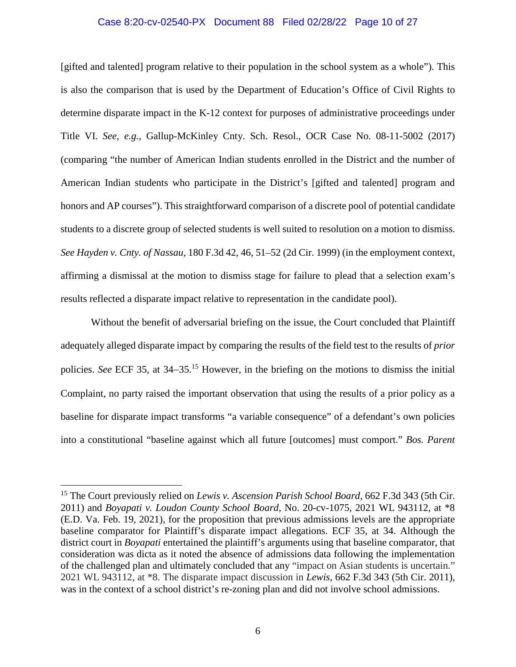#### Case 8:20-cv-02540-PX Document 88 Filed 02/28/22 Page 10 of 27

[gifted and talented] program relative to their population in the school system as a whole"). This is also the comparison that is used by the Department of Education's Office of Civil Rights to determine disparate impact in the K-12 context for purposes of administrative proceedings under Title VI. *See, e.g.*, Gallup-McKinley Cnty. Sch. Resol., OCR Case No. 08-11-5002 (2017) (comparing "the number of American Indian students enrolled in the District and the number of American Indian students who participate in the District's [gifted and talented] program and honors and AP courses"). This straightforward comparison of a discrete pool of potential candidate students to a discrete group of selected students is well suited to resolution on a motion to dismiss. *See Hayden v. Cnty. of Nassau*, 180 F.3d 42, 46, 51–52 (2d Cir. 1999) (in the employment context, affirming a dismissal at the motion to dismiss stage for failure to plead that a selection exam's results reflected a disparate impact relative to representation in the candidate pool).

<span id="page-9-2"></span>Without the benefit of adversarial briefing on the issue, the Court concluded that Plaintiff adequately alleged disparate impact by comparing the results of the field test to the results of *prior*  policies. *See* ECF 35, at 34–35.<sup>15</sup> However, in the briefing on the motions to dismiss the initial Complaint, no party raised the important observation that using the results of a prior policy as a baseline for disparate impact transforms "a variable consequence" of a defendant's own policies into a constitutional "baseline against which all future [outcomes] must comport." *Bos. Parent* 

<span id="page-9-3"></span><span id="page-9-1"></span><span id="page-9-0"></span><sup>&</sup>lt;sup>15</sup> The Court previously relied on *Lewis v. Ascension Parish School Board*, 662 F.3d 343 (5th Cir. 2011) and *Boyapati v. Loudon County School Board*, No. 20-cv-1075, 2021 WL 943112, at \*8 (E.D. Va. Feb. 19, 2021), for the proposition that previous admissions levels are the appropriate baseline comparator for Plaintiff's disparate impact allegations. ECF 35, at 34. Although the district court in *Boyapati* entertained the plaintiff's arguments using that baseline comparator, that consideration was dicta as it noted the absence of admissions data following the implementation of the challenged plan and ultimately concluded that any "impact on Asian students is uncertain." 2021 WL 943112, at \*8. The disparate impact discussion in *Lewis*, 662 F.3d 343 (5th Cir. 2011), was in the context of a school district's re-zoning plan and did not involve school admissions.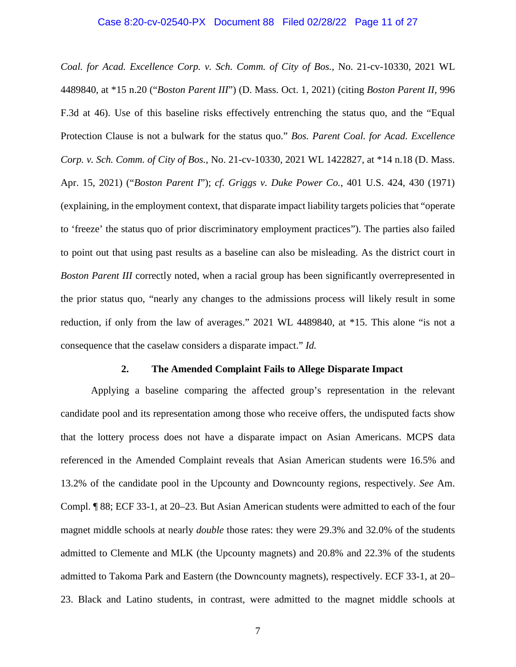#### <span id="page-10-1"></span>Case 8:20-cv-02540-PX Document 88 Filed 02/28/22 Page 11 of 27

<span id="page-10-3"></span>*Coal. for Acad. Excellence Corp. v. Sch. Comm. of City of Bos.*, No. 21-cv-10330, 2021 WL 4489840, at \*15 n.20 ("*Boston Parent III*") (D. Mass. Oct. 1, 2021) (citing *Boston Parent II*, 996 F.3d at 46). Use of this baseline risks effectively entrenching the status quo, and the "Equal Protection Clause is not a bulwark for the status quo." *Bos. Parent Coal. for Acad. Excellence Corp. v. Sch. Comm. of City of Bos.*, No. 21-cv-10330, 2021 WL 1422827, at \*14 n.18 (D. Mass. Apr. 15, 2021) ("*Boston Parent I*"); *cf. Griggs v. Duke Power Co.*, 401 U.S. 424, 430 (1971) (explaining, in the employment context, that disparate impact liability targets policies that "operate to 'freeze' the status quo of prior discriminatory employment practices"). The parties also failed to point out that using past results as a baseline can also be misleading. As the district court in *Boston Parent III* correctly noted, when a racial group has been significantly overrepresented in the prior status quo, "nearly any changes to the admissions process will likely result in some reduction, if only from the law of averages." 2021 WL 4489840, at \*15. This alone "is not a consequence that the caselaw considers a disparate impact." *Id.*

#### <span id="page-10-2"></span>**2. The Amended Complaint Fails to Allege Disparate Impact**

<span id="page-10-0"></span>Applying a baseline comparing the affected group's representation in the relevant candidate pool and its representation among those who receive offers, the undisputed facts show that the lottery process does not have a disparate impact on Asian Americans. MCPS data referenced in the Amended Complaint reveals that Asian American students were 16.5% and 13.2% of the candidate pool in the Upcounty and Downcounty regions, respectively. *See* Am. Compl. ¶ 88; ECF 33-1, at 20–23. But Asian American students were admitted to each of the four magnet middle schools at nearly *double* those rates: they were 29.3% and 32.0% of the students admitted to Clemente and MLK (the Upcounty magnets) and 20.8% and 22.3% of the students admitted to Takoma Park and Eastern (the Downcounty magnets), respectively. ECF 33-1, at 20– 23. Black and Latino students, in contrast, were admitted to the magnet middle schools at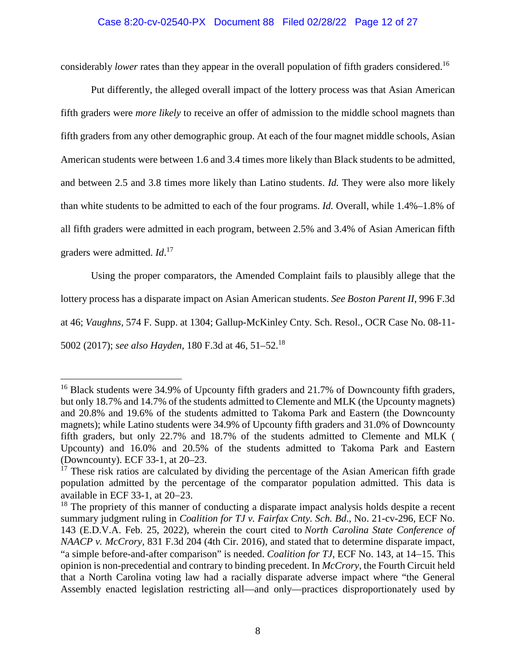## Case 8:20-cv-02540-PX Document 88 Filed 02/28/22 Page 12 of 27

considerably *lower* rates than they appear in the overall population of fifth graders considered.<sup>16</sup>

Put differently, the alleged overall impact of the lottery process was that Asian American fifth graders were *more likely* to receive an offer of admission to the middle school magnets than fifth graders from any other demographic group. At each of the four magnet middle schools, Asian American students were between 1.6 and 3.4 times more likely than Black students to be admitted, and between 2.5 and 3.8 times more likely than Latino students. *Id.* They were also more likely than white students to be admitted to each of the four programs. *Id.* Overall, while 1.4%–1.8% of all fifth graders were admitted in each program, between 2.5% and 3.4% of Asian American fifth graders were admitted. *Id*. 17

<span id="page-11-4"></span><span id="page-11-0"></span>Using the proper comparators, the Amended Complaint fails to plausibly allege that the lottery process has a disparate impact on Asian American students. *See Boston Parent II*, 996 F.3d at 46; *Vaughns*, 574 F. Supp. at 1304; Gallup-McKinley Cnty. Sch. Resol., OCR Case No. 08-11- 5002 (2017); *see also Hayden*, 180 F.3d at 46, 51–52.<sup>18</sup>

<span id="page-11-2"></span><sup>&</sup>lt;sup>16</sup> Black students were 34.9% of Upcounty fifth graders and 21.7% of Downcounty fifth graders, but only 18.7% and 14.7% of the students admitted to Clemente and MLK (the Upcounty magnets) and 20.8% and 19.6% of the students admitted to Takoma Park and Eastern (the Downcounty magnets); while Latino students were 34.9% of Upcounty fifth graders and 31.0% of Downcounty fifth graders, but only 22.7% and 18.7% of the students admitted to Clemente and MLK ( Upcounty) and 16.0% and 20.5% of the students admitted to Takoma Park and Eastern (Downcounty). ECF 33-1, at 20–23.

 $17$  These risk ratios are calculated by dividing the percentage of the Asian American fifth grade population admitted by the percentage of the comparator population admitted. This data is available in ECF 33-1, at  $20-23$ .

<span id="page-11-3"></span><span id="page-11-1"></span> $18$  The propriety of this manner of conducting a disparate impact analysis holds despite a recent summary judgment ruling in *Coalition for TJ v. Fairfax Cnty. Sch. Bd*., No. 21-cv-296, ECF No. 143 (E.D.V.A. Feb. 25, 2022), wherein the court cited to *North Carolina State Conference of NAACP v. McCrory*, 831 F.3d 204 (4th Cir. 2016), and stated that to determine disparate impact, "a simple before-and-after comparison" is needed. *Coalition for TJ*, ECF No. 143, at 14–15. This opinion is non-precedential and contrary to binding precedent. In *McCrory*, the Fourth Circuit held that a North Carolina voting law had a racially disparate adverse impact where "the General Assembly enacted legislation restricting all—and only—practices disproportionately used by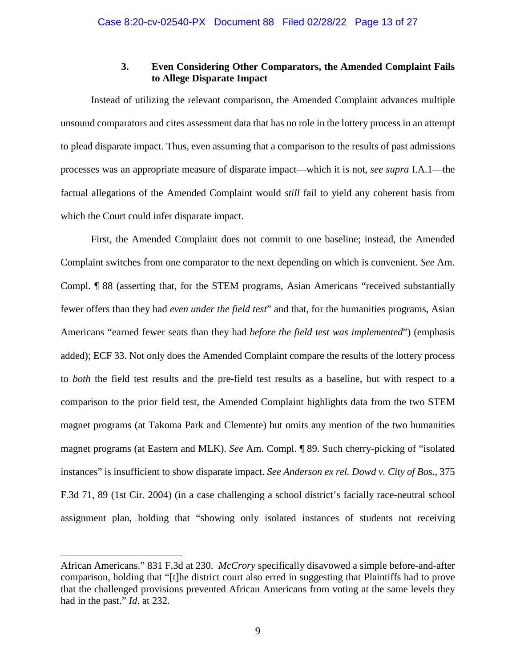## **3. Even Considering Other Comparators, the Amended Complaint Fails to Allege Disparate Impact**

<span id="page-12-0"></span>Instead of utilizing the relevant comparison, the Amended Complaint advances multiple unsound comparators and cites assessment data that has no role in the lottery process in an attempt to plead disparate impact. Thus, even assuming that a comparison to the results of past admissions processes was an appropriate measure of disparate impact—which it is not, *see supra* I.A.1—the factual allegations of the Amended Complaint would *still* fail to yield any coherent basis from which the Court could infer disparate impact.

First, the Amended Complaint does not commit to one baseline; instead, the Amended Complaint switches from one comparator to the next depending on which is convenient. *See* Am. Compl. ¶ 88 (asserting that, for the STEM programs, Asian Americans "received substantially fewer offers than they had *even under the field test*" and that, for the humanities programs, Asian Americans "earned fewer seats than they had *before the field test was implemented*") (emphasis added); ECF 33. Not only does the Amended Complaint compare the results of the lottery process to *both* the field test results and the pre-field test results as a baseline, but with respect to a comparison to the prior field test, the Amended Complaint highlights data from the two STEM magnet programs (at Takoma Park and Clemente) but omits any mention of the two humanities magnet programs (at Eastern and MLK). *See* Am. Compl. ¶ 89. Such cherry-picking of "isolated instances" is insufficient to show disparate impact. *See Anderson ex rel. Dowd v. City of Bos.*, 375 F.3d 71, 89 (1st Cir. 2004) (in a case challenging a school district's facially race-neutral school assignment plan, holding that "showing only isolated instances of students not receiving

<span id="page-12-2"></span><span id="page-12-1"></span>African Americans." 831 F.3d at 230. *McCrory* specifically disavowed a simple before-and-after comparison, holding that "[t]he district court also erred in suggesting that Plaintiffs had to prove that the challenged provisions prevented African Americans from voting at the same levels they had in the past." *Id*. at 232.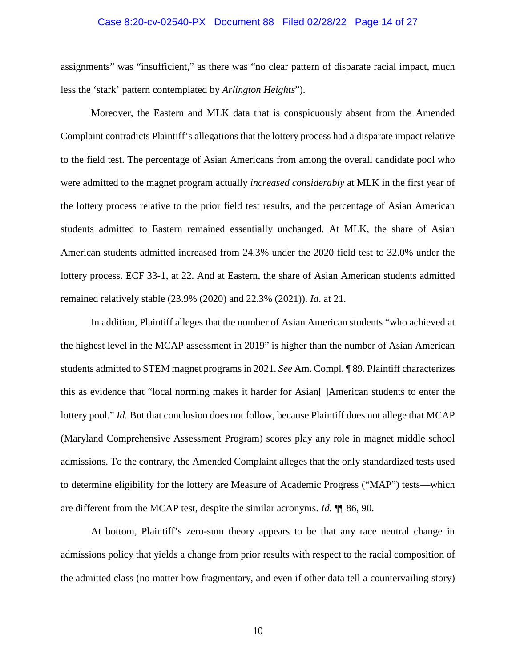#### Case 8:20-cv-02540-PX Document 88 Filed 02/28/22 Page 14 of 27

assignments" was "insufficient," as there was "no clear pattern of disparate racial impact, much less the 'stark' pattern contemplated by *Arlington Heights*").

Moreover, the Eastern and MLK data that is conspicuously absent from the Amended Complaint contradicts Plaintiff's allegations that the lottery process had a disparate impact relative to the field test. The percentage of Asian Americans from among the overall candidate pool who were admitted to the magnet program actually *increased considerably* at MLK in the first year of the lottery process relative to the prior field test results, and the percentage of Asian American students admitted to Eastern remained essentially unchanged. At MLK, the share of Asian American students admitted increased from 24.3% under the 2020 field test to 32.0% under the lottery process. ECF 33-1, at 22. And at Eastern, the share of Asian American students admitted remained relatively stable (23.9% (2020) and 22.3% (2021)). *Id*. at 21.

In addition, Plaintiff alleges that the number of Asian American students "who achieved at the highest level in the MCAP assessment in 2019" is higher than the number of Asian American students admitted to STEM magnet programs in 2021. *See* Am. Compl. ¶ 89. Plaintiff characterizes this as evidence that "local norming makes it harder for Asian[ ]American students to enter the lottery pool." *Id.* But that conclusion does not follow, because Plaintiff does not allege that MCAP (Maryland Comprehensive Assessment Program) scores play any role in magnet middle school admissions. To the contrary, the Amended Complaint alleges that the only standardized tests used to determine eligibility for the lottery are Measure of Academic Progress ("MAP") tests—which are different from the MCAP test, despite the similar acronyms. *Id.* ¶¶ 86, 90.

At bottom, Plaintiff's zero-sum theory appears to be that any race neutral change in admissions policy that yields a change from prior results with respect to the racial composition of the admitted class (no matter how fragmentary, and even if other data tell a countervailing story)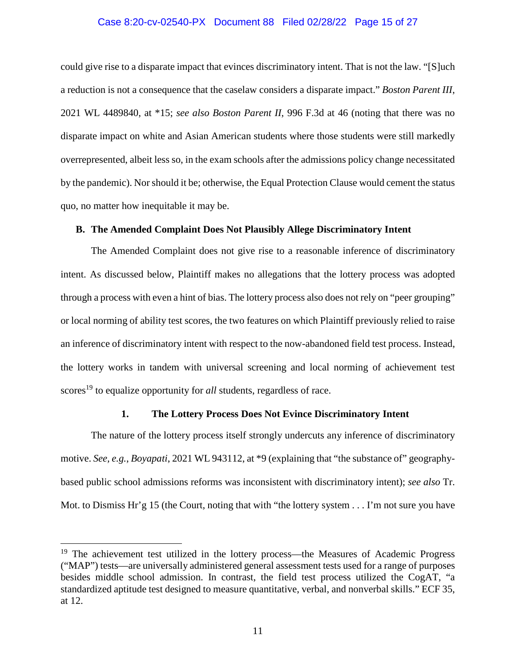#### <span id="page-14-3"></span><span id="page-14-2"></span>Case 8:20-cv-02540-PX Document 88 Filed 02/28/22 Page 15 of 27

could give rise to a disparate impact that evinces discriminatory intent. That is not the law. "[S]uch a reduction is not a consequence that the caselaw considers a disparate impact." *Boston Parent III*, 2021 WL 4489840, at \*15; *see also Boston Parent II*, 996 F.3d at 46 (noting that there was no disparate impact on white and Asian American students where those students were still markedly overrepresented, albeit less so, in the exam schools after the admissions policy change necessitated by the pandemic). Nor should it be; otherwise, the Equal Protection Clause would cement the status quo, no matter how inequitable it may be.

#### <span id="page-14-0"></span>**B. The Amended Complaint Does Not Plausibly Allege Discriminatory Intent**

The Amended Complaint does not give rise to a reasonable inference of discriminatory intent. As discussed below, Plaintiff makes no allegations that the lottery process was adopted through a process with even a hint of bias. The lottery process also does not rely on "peer grouping" or local norming of ability test scores, the two features on which Plaintiff previously relied to raise an inference of discriminatory intent with respect to the now-abandoned field test process. Instead, the lottery works in tandem with universal screening and local norming of achievement test scores<sup>19</sup> to equalize opportunity for *all* students, regardless of race.

#### <span id="page-14-4"></span>**1. The Lottery Process Does Not Evince Discriminatory Intent**

<span id="page-14-1"></span>The nature of the lottery process itself strongly undercuts any inference of discriminatory motive. *See, e.g.*, *Boyapati*, 2021 WL 943112, at \*9 (explaining that "the substance of" geographybased public school admissions reforms was inconsistent with discriminatory intent); *see also* Tr. Mot. to Dismiss Hr'g 15 (the Court, noting that with "the lottery system . . . I'm not sure you have

<sup>&</sup>lt;sup>19</sup> The achievement test utilized in the lottery process—the Measures of Academic Progress ("MAP") tests—are universally administered general assessment tests used for a range of purposes besides middle school admission. In contrast, the field test process utilized the CogAT, "a standardized aptitude test designed to measure quantitative, verbal, and nonverbal skills." ECF 35, at 12.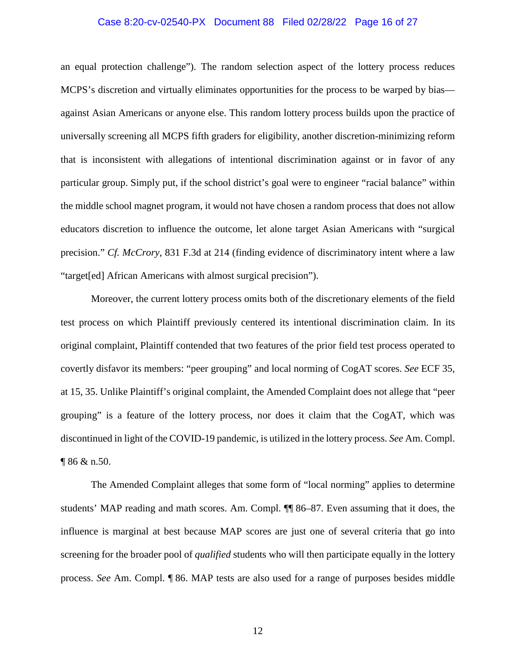#### Case 8:20-cv-02540-PX Document 88 Filed 02/28/22 Page 16 of 27

an equal protection challenge"). The random selection aspect of the lottery process reduces MCPS's discretion and virtually eliminates opportunities for the process to be warped by bias against Asian Americans or anyone else. This random lottery process builds upon the practice of universally screening all MCPS fifth graders for eligibility, another discretion-minimizing reform that is inconsistent with allegations of intentional discrimination against or in favor of any particular group. Simply put, if the school district's goal were to engineer "racial balance" within the middle school magnet program, it would not have chosen a random process that does not allow educators discretion to influence the outcome, let alone target Asian Americans with "surgical precision." *Cf. McCrory*, 831 F.3d at 214 (finding evidence of discriminatory intent where a law "target[ed] African Americans with almost surgical precision").

<span id="page-15-0"></span>Moreover, the current lottery process omits both of the discretionary elements of the field test process on which Plaintiff previously centered its intentional discrimination claim. In its original complaint, Plaintiff contended that two features of the prior field test process operated to covertly disfavor its members: "peer grouping" and local norming of CogAT scores. *See* ECF 35, at 15, 35. Unlike Plaintiff's original complaint, the Amended Complaint does not allege that "peer grouping" is a feature of the lottery process, nor does it claim that the CogAT, which was discontinued in light of the COVID-19 pandemic, is utilized in the lottery process. *See* Am. Compl. ¶ 86 & n.50.

The Amended Complaint alleges that some form of "local norming" applies to determine students' MAP reading and math scores. Am. Compl. ¶¶ 86–87. Even assuming that it does, the influence is marginal at best because MAP scores are just one of several criteria that go into screening for the broader pool of *qualified* students who will then participate equally in the lottery process. *See* Am. Compl. ¶ 86. MAP tests are also used for a range of purposes besides middle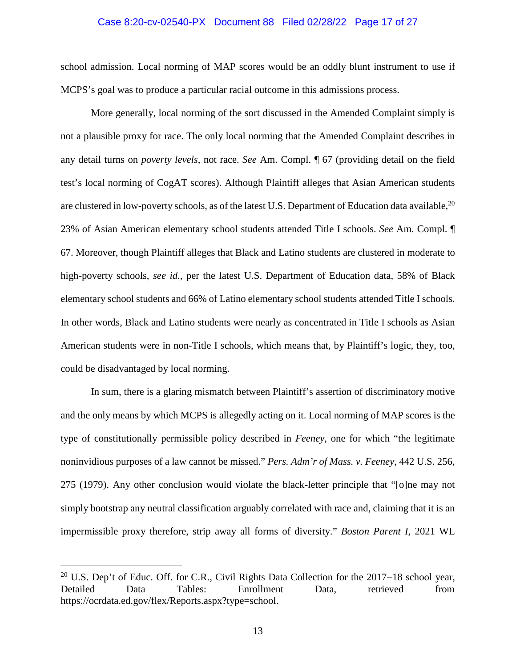#### Case 8:20-cv-02540-PX Document 88 Filed 02/28/22 Page 17 of 27

school admission. Local norming of MAP scores would be an oddly blunt instrument to use if MCPS's goal was to produce a particular racial outcome in this admissions process.

More generally, local norming of the sort discussed in the Amended Complaint simply is not a plausible proxy for race. The only local norming that the Amended Complaint describes in any detail turns on *poverty levels*, not race. *See* Am. Compl. ¶ 67 (providing detail on the field test's local norming of CogAT scores). Although Plaintiff alleges that Asian American students are clustered in low-poverty schools, as of the latest U.S. Department of Education data available, <sup>20</sup> 23% of Asian American elementary school students attended Title I schools. *See* Am. Compl. ¶ 67. Moreover, though Plaintiff alleges that Black and Latino students are clustered in moderate to high-poverty schools, *see id.*, per the latest U.S. Department of Education data, 58% of Black elementary school students and 66% of Latino elementary school students attended Title I schools. In other words, Black and Latino students were nearly as concentrated in Title I schools as Asian American students were in non-Title I schools, which means that, by Plaintiff's logic, they, too, could be disadvantaged by local norming.

<span id="page-16-1"></span>In sum, there is a glaring mismatch between Plaintiff's assertion of discriminatory motive and the only means by which MCPS is allegedly acting on it. Local norming of MAP scores is the type of constitutionally permissible policy described in *Feeney*, one for which "the legitimate noninvidious purposes of a law cannot be missed." *Pers. Adm'r of Mass. v. Feeney*, 442 U.S. 256, 275 (1979). Any other conclusion would violate the black-letter principle that "[o]ne may not simply bootstrap any neutral classification arguably correlated with race and, claiming that it is an impermissible proxy therefore, strip away all forms of diversity." *Boston Parent I*, 2021 WL

<span id="page-16-0"></span><sup>&</sup>lt;sup>20</sup> U.S. Dep't of Educ. Off. for C.R., Civil Rights Data Collection for the  $2017-18$  school year, Detailed Data Tables: Enrollment Data, retrieved from https://ocrdata.ed.gov/flex/Reports.aspx?type=school.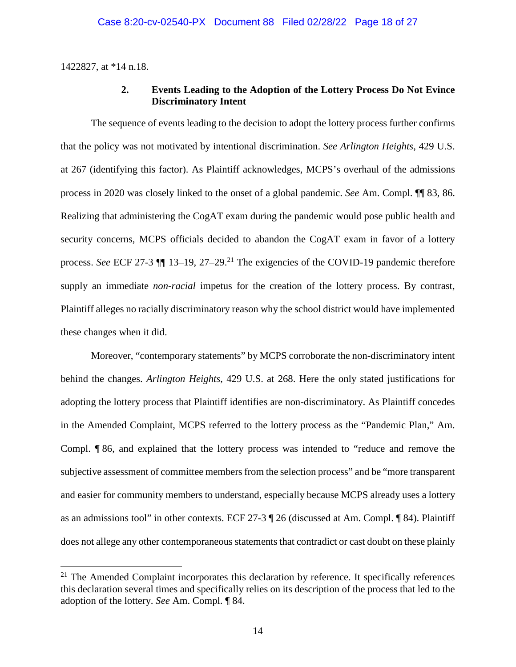<span id="page-17-0"></span>1422827, at \*14 n.18.

 $\overline{a}$ 

## <span id="page-17-1"></span>**2. Events Leading to the Adoption of the Lottery Process Do Not Evince Discriminatory Intent**

The sequence of events leading to the decision to adopt the lottery process further confirms that the policy was not motivated by intentional discrimination. *See Arlington Heights*, 429 U.S. at 267 (identifying this factor). As Plaintiff acknowledges, MCPS's overhaul of the admissions process in 2020 was closely linked to the onset of a global pandemic. *See* Am. Compl. ¶¶ 83, 86. Realizing that administering the CogAT exam during the pandemic would pose public health and security concerns, MCPS officials decided to abandon the CogAT exam in favor of a lottery process. *See* ECF 27-3  $\P$  13-19, 27-29.<sup>21</sup> The exigencies of the COVID-19 pandemic therefore supply an immediate *non-racial* impetus for the creation of the lottery process. By contrast, Plaintiff alleges no racially discriminatory reason why the school district would have implemented these changes when it did.

Moreover, "contemporary statements" by MCPS corroborate the non-discriminatory intent behind the changes. *Arlington Heights*, 429 U.S. at 268. Here the only stated justifications for adopting the lottery process that Plaintiff identifies are non-discriminatory. As Plaintiff concedes in the Amended Complaint, MCPS referred to the lottery process as the "Pandemic Plan," Am. Compl. ¶ 86, and explained that the lottery process was intended to "reduce and remove the subjective assessment of committee members from the selection process" and be "more transparent and easier for community members to understand, especially because MCPS already uses a lottery as an admissions tool" in other contexts. ECF 27-3 ¶ 26 (discussed at Am. Compl. ¶ 84). Plaintiff does not allege any other contemporaneous statements that contradict or cast doubt on these plainly

 $21$  The Amended Complaint incorporates this declaration by reference. It specifically references this declaration several times and specifically relies on its description of the process that led to the adoption of the lottery. *See* Am. Compl. ¶ 84.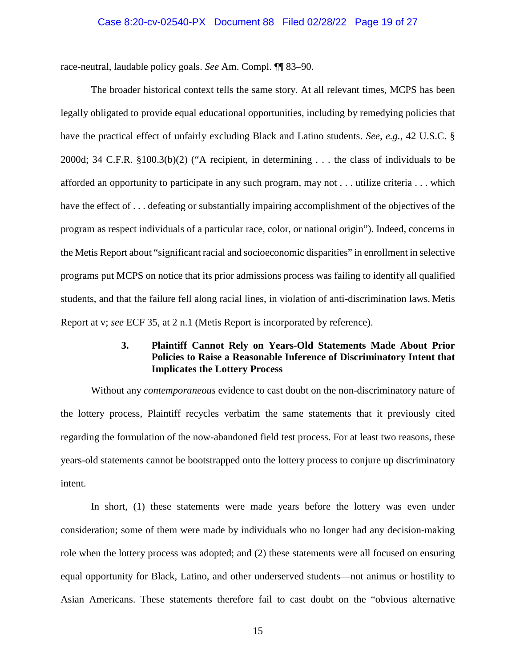#### <span id="page-18-1"></span>Case 8:20-cv-02540-PX Document 88 Filed 02/28/22 Page 19 of 27

race-neutral, laudable policy goals. *See* Am. Compl. ¶¶ 83–90.

<span id="page-18-2"></span>The broader historical context tells the same story. At all relevant times, MCPS has been legally obligated to provide equal educational opportunities, including by remedying policies that have the practical effect of unfairly excluding Black and Latino students. *See, e.g.*, 42 U.S.C. § 2000d; 34 C.F.R. §100.3(b)(2) ("A recipient, in determining . . . the class of individuals to be afforded an opportunity to participate in any such program, may not . . . utilize criteria . . . which have the effect of ... defeating or substantially impairing accomplishment of the objectives of the program as respect individuals of a particular race, color, or national origin"). Indeed, concerns in the Metis Report about "significant racial and socioeconomic disparities" in enrollment in selective programs put MCPS on notice that its prior admissions process was failing to identify all qualified students, and that the failure fell along racial lines, in violation of anti-discrimination laws. Metis Report at v; *see* ECF 35, at 2 n.1 (Metis Report is incorporated by reference).

## **3. Plaintiff Cannot Rely on Years-Old Statements Made About Prior Policies to Raise a Reasonable Inference of Discriminatory Intent that Implicates the Lottery Process**

<span id="page-18-0"></span>Without any *contemporaneous* evidence to cast doubt on the non-discriminatory nature of the lottery process, Plaintiff recycles verbatim the same statements that it previously cited regarding the formulation of the now-abandoned field test process. For at least two reasons, these years-old statements cannot be bootstrapped onto the lottery process to conjure up discriminatory intent.

In short, (1) these statements were made years before the lottery was even under consideration; some of them were made by individuals who no longer had any decision-making role when the lottery process was adopted; and (2) these statements were all focused on ensuring equal opportunity for Black, Latino, and other underserved students—not animus or hostility to Asian Americans. These statements therefore fail to cast doubt on the "obvious alternative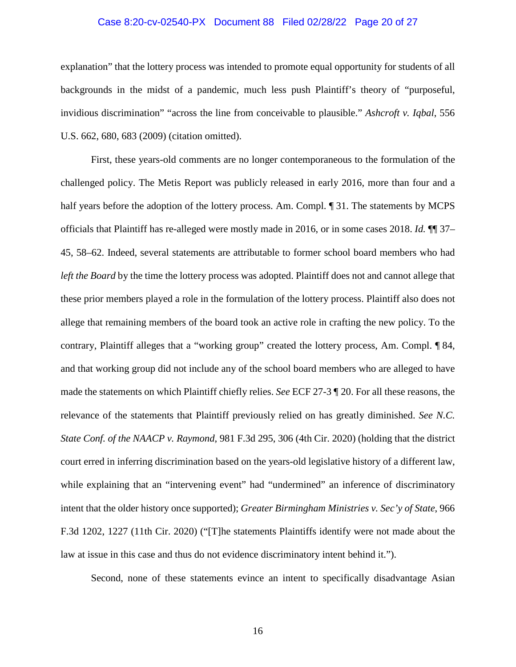#### <span id="page-19-0"></span>Case 8:20-cv-02540-PX Document 88 Filed 02/28/22 Page 20 of 27

explanation" that the lottery process was intended to promote equal opportunity for students of all backgrounds in the midst of a pandemic, much less push Plaintiff's theory of "purposeful, invidious discrimination" "across the line from conceivable to plausible." *Ashcroft v. Iqbal*, 556 U.S. 662, 680, 683 (2009) (citation omitted).

First, these years-old comments are no longer contemporaneous to the formulation of the challenged policy. The Metis Report was publicly released in early 2016, more than four and a half years before the adoption of the lottery process. Am. Compl.  $\P$  31. The statements by MCPS officials that Plaintiff has re-alleged were mostly made in 2016, or in some cases 2018. *Id.* ¶¶ 37– 45, 58–62. Indeed, several statements are attributable to former school board members who had *left the Board* by the time the lottery process was adopted. Plaintiff does not and cannot allege that these prior members played a role in the formulation of the lottery process. Plaintiff also does not allege that remaining members of the board took an active role in crafting the new policy. To the contrary, Plaintiff alleges that a "working group" created the lottery process, Am. Compl. ¶ 84, and that working group did not include any of the school board members who are alleged to have made the statements on which Plaintiff chiefly relies. *See* ECF 27-3 ¶ 20. For all these reasons, the relevance of the statements that Plaintiff previously relied on has greatly diminished. *See N.C. State Conf. of the NAACP v. Raymond*, 981 F.3d 295, 306 (4th Cir. 2020) (holding that the district court erred in inferring discrimination based on the years-old legislative history of a different law, while explaining that an "intervening event" had "undermined" an inference of discriminatory intent that the older history once supported); *Greater Birmingham Ministries v. Sec'y of State*, 966 F.3d 1202, 1227 (11th Cir. 2020) ("[T]he statements Plaintiffs identify were not made about the law at issue in this case and thus do not evidence discriminatory intent behind it.").

<span id="page-19-2"></span><span id="page-19-1"></span>Second, none of these statements evince an intent to specifically disadvantage Asian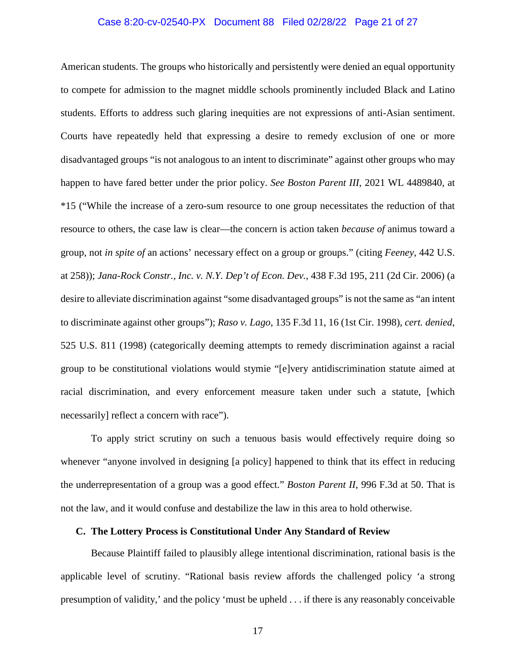#### <span id="page-20-2"></span>Case 8:20-cv-02540-PX Document 88 Filed 02/28/22 Page 21 of 27

American students. The groups who historically and persistently were denied an equal opportunity to compete for admission to the magnet middle schools prominently included Black and Latino students. Efforts to address such glaring inequities are not expressions of anti-Asian sentiment. Courts have repeatedly held that expressing a desire to remedy exclusion of one or more disadvantaged groups "is not analogous to an intent to discriminate" against other groups who may happen to have fared better under the prior policy. *See Boston Parent III*, 2021 WL 4489840, at \*15 ("While the increase of a zero-sum resource to one group necessitates the reduction of that resource to others, the case law is clear—the concern is action taken *because of* animus toward a group, not *in spite of* an actions' necessary effect on a group or groups." (citing *Feeney*, 442 U.S. at 258)); *Jana-Rock Constr., Inc. v. N.Y. Dep't of Econ. Dev.*, 438 F.3d 195, 211 (2d Cir. 2006) (a desire to alleviate discrimination against "some disadvantaged groups" is not the same as "an intent to discriminate against other groups"); *Raso v. Lago*, 135 F.3d 11, 16 (1st Cir. 1998), *cert. denied*, 525 U.S. 811 (1998) (categorically deeming attempts to remedy discrimination against a racial group to be constitutional violations would stymie "[e]very antidiscrimination statute aimed at racial discrimination, and every enforcement measure taken under such a statute, [which necessarily] reflect a concern with race").

<span id="page-20-4"></span><span id="page-20-3"></span>To apply strict scrutiny on such a tenuous basis would effectively require doing so whenever "anyone involved in designing [a policy] happened to think that its effect in reducing the underrepresentation of a group was a good effect." *Boston Parent II*, 996 F.3d at 50. That is not the law, and it would confuse and destabilize the law in this area to hold otherwise.

#### <span id="page-20-1"></span><span id="page-20-0"></span>**C. The Lottery Process is Constitutional Under Any Standard of Review**

Because Plaintiff failed to plausibly allege intentional discrimination, rational basis is the applicable level of scrutiny. "Rational basis review affords the challenged policy 'a strong presumption of validity,' and the policy 'must be upheld . . . if there is any reasonably conceivable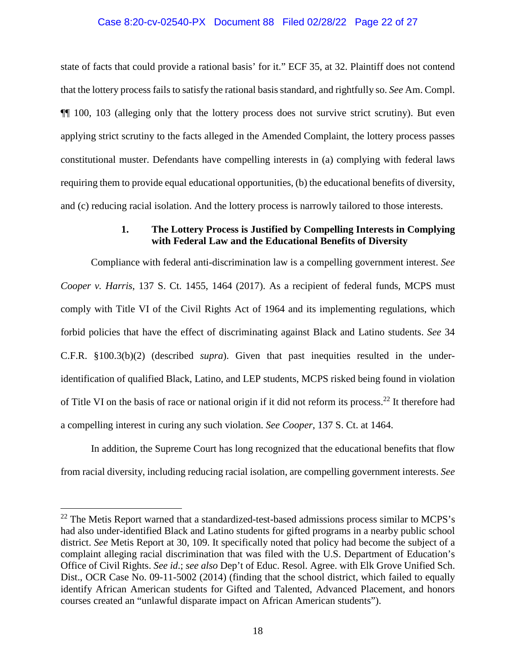#### Case 8:20-cv-02540-PX Document 88 Filed 02/28/22 Page 22 of 27

state of facts that could provide a rational basis' for it." ECF 35, at 32. Plaintiff does not contend that the lottery process fails to satisfy the rational basis standard, and rightfully so. *See* Am. Compl. ¶¶ 100, 103 (alleging only that the lottery process does not survive strict scrutiny). But even applying strict scrutiny to the facts alleged in the Amended Complaint, the lottery process passes constitutional muster. Defendants have compelling interests in (a) complying with federal laws requiring them to provide equal educational opportunities, (b) the educational benefits of diversity, and (c) reducing racial isolation. And the lottery process is narrowly tailored to those interests.

## <span id="page-21-2"></span>**1. The Lottery Process is Justified by Compelling Interests in Complying with Federal Law and the Educational Benefits of Diversity**

<span id="page-21-1"></span><span id="page-21-0"></span>Compliance with federal anti-discrimination law is a compelling government interest. *See Cooper v. Harris*, 137 S. Ct. 1455, 1464 (2017). As a recipient of federal funds, MCPS must comply with Title VI of the Civil Rights Act of 1964 and its implementing regulations, which forbid policies that have the effect of discriminating against Black and Latino students. *See* 34 C.F.R. §100.3(b)(2) (described *supra*). Given that past inequities resulted in the underidentification of qualified Black, Latino, and LEP students, MCPS risked being found in violation of Title VI on the basis of race or national origin if it did not reform its process.<sup>22</sup> It therefore had a compelling interest in curing any such violation. *See Cooper*, 137 S. Ct. at 1464.

In addition, the Supreme Court has long recognized that the educational benefits that flow from racial diversity, including reducing racial isolation, are compelling government interests. *See* 

 $22$  The Metis Report warned that a standardized-test-based admissions process similar to MCPS's had also under-identified Black and Latino students for gifted programs in a nearby public school district. *See* Metis Report at 30, 109. It specifically noted that policy had become the subject of a complaint alleging racial discrimination that was filed with the U.S. Department of Education's Office of Civil Rights. *See id*.; *see also* Dep't of Educ. Resol. Agree. with Elk Grove Unified Sch. Dist., OCR Case No. 09-11-5002 (2014) (finding that the school district, which failed to equally identify African American students for Gifted and Talented, Advanced Placement, and honors courses created an "unlawful disparate impact on African American students").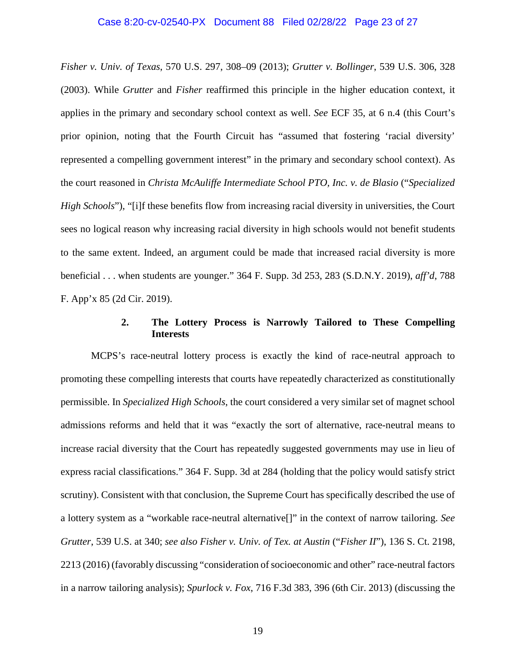#### <span id="page-22-4"></span>Case 8:20-cv-02540-PX Document 88 Filed 02/28/22 Page 23 of 27

<span id="page-22-3"></span>*Fisher v. Univ. of Texas*, 570 U.S. 297, 308–09 (2013); *Grutter v. Bollinger*, 539 U.S. 306, 328 (2003). While *Grutter* and *Fisher* reaffirmed this principle in the higher education context, it applies in the primary and secondary school context as well. *See* ECF 35, at 6 n.4 (this Court's prior opinion, noting that the Fourth Circuit has "assumed that fostering 'racial diversity' represented a compelling government interest" in the primary and secondary school context). As the court reasoned in *Christa McAuliffe Intermediate School PTO, Inc. v. de Blasio* ("*Specialized High Schools*"), "[i]f these benefits flow from increasing racial diversity in universities, the Court sees no logical reason why increasing racial diversity in high schools would not benefit students to the same extent. Indeed, an argument could be made that increased racial diversity is more beneficial . . . when students are younger." 364 F. Supp. 3d 253, 283 (S.D.N.Y. 2019), *aff'd*, 788 F. App'x 85 (2d Cir. 2019).

### <span id="page-22-2"></span><span id="page-22-1"></span>**2. The Lottery Process is Narrowly Tailored to These Compelling Interests**

<span id="page-22-5"></span><span id="page-22-0"></span>MCPS's race-neutral lottery process is exactly the kind of race-neutral approach to promoting these compelling interests that courts have repeatedly characterized as constitutionally permissible. In *Specialized High Schools*, the court considered a very similar set of magnet school admissions reforms and held that it was "exactly the sort of alternative, race-neutral means to increase racial diversity that the Court has repeatedly suggested governments may use in lieu of express racial classifications." 364 F. Supp. 3d at 284 (holding that the policy would satisfy strict scrutiny). Consistent with that conclusion, the Supreme Court has specifically described the use of a lottery system as a "workable race-neutral alternative[]" in the context of narrow tailoring. *See Grutter*, 539 U.S. at 340; *see also Fisher v. Univ. of Tex. at Austin* ("*Fisher II*"), 136 S. Ct. 2198, 2213 (2016) (favorably discussing "consideration of socioeconomic and other" race-neutral factors in a narrow tailoring analysis); *Spurlock v. Fox*, 716 F.3d 383, 396 (6th Cir. 2013) (discussing the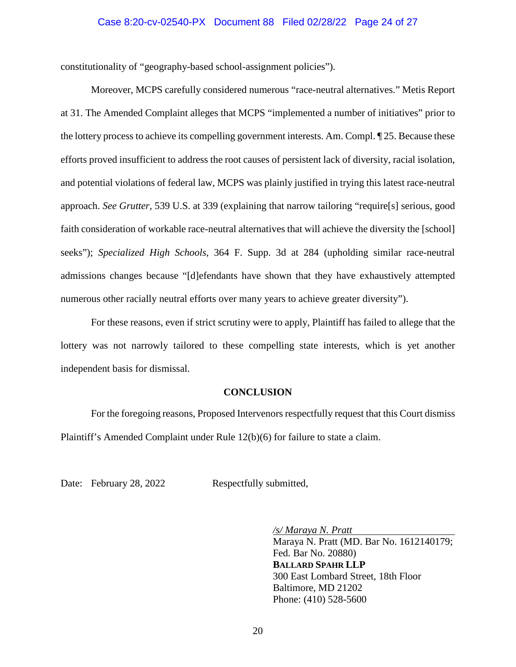#### Case 8:20-cv-02540-PX Document 88 Filed 02/28/22 Page 24 of 27

constitutionality of "geography-based school-assignment policies").

<span id="page-23-2"></span>Moreover, MCPS carefully considered numerous "race-neutral alternatives." Metis Report at 31. The Amended Complaint alleges that MCPS "implemented a number of initiatives" prior to the lottery process to achieve its compelling government interests. Am. Compl. ¶ 25. Because these efforts proved insufficient to address the root causes of persistent lack of diversity, racial isolation, and potential violations of federal law, MCPS was plainly justified in trying this latest race-neutral approach. *See Grutter*, 539 U.S. at 339 (explaining that narrow tailoring "require[s] serious, good faith consideration of workable race-neutral alternatives that will achieve the diversity the [school] seeks"); *Specialized High Schools*, 364 F. Supp. 3d at 284 (upholding similar race-neutral admissions changes because "[d]efendants have shown that they have exhaustively attempted numerous other racially neutral efforts over many years to achieve greater diversity").

For these reasons, even if strict scrutiny were to apply, Plaintiff has failed to allege that the lottery was not narrowly tailored to these compelling state interests, which is yet another independent basis for dismissal.

#### <span id="page-23-1"></span>**CONCLUSION**

<span id="page-23-0"></span>For the foregoing reasons, Proposed Intervenors respectfully request that this Court dismiss Plaintiff's Amended Complaint under Rule 12(b)(6) for failure to state a claim.

Date: February 28, 2022 Respectfully submitted,

*/s/ Maraya N. Pratt*  Maraya N. Pratt (MD. Bar No. 1612140179; Fed. Bar No. 20880) **BALLARD SPAHR LLP** 300 East Lombard Street, 18th Floor Baltimore, MD 21202 Phone: (410) 528-5600

20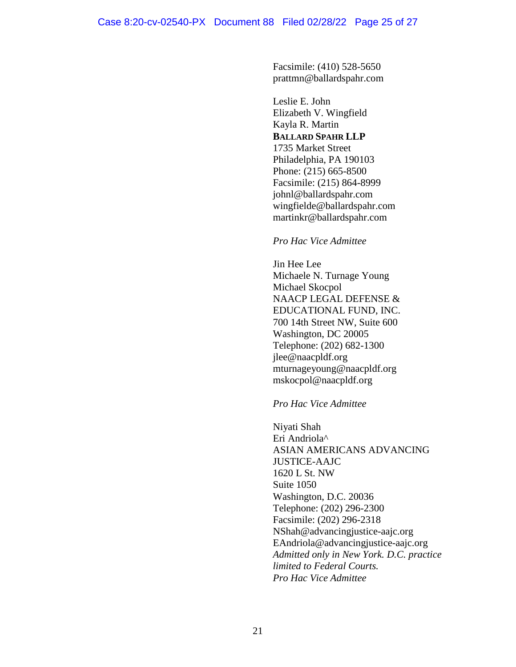Facsimile: (410) 528-5650 prattmn@ballardspahr.com

Leslie E. John Elizabeth V. Wingfield Kayla R. Martin **BALLARD SPAHR LLP** 1735 Market Street Philadelphia, PA 190103 Phone: (215) 665-8500 Facsimile: (215) 864-8999 johnl@ballardspahr.com wingfielde@ballardspahr.com martinkr@ballardspahr.com

### *Pro Hac Vice Admittee*

Jin Hee Lee Michaele N. Turnage Young Michael Skocpol NAACP LEGAL DEFENSE & EDUCATIONAL FUND, INC. 700 14th Street NW, Suite 600 Washington, DC 20005 Telephone: (202) 682-1300 jlee@naacpldf.org mturnageyoung@naacpldf.org mskocpol@naacpldf.org

## *Pro Hac Vice Admittee*

Niyati Shah Eri Andriola^ ASIAN AMERICANS ADVANCING JUSTICE-AAJC 1620 L St. NW Suite 1050 Washington, D.C. 20036 Telephone: (202) 296-2300 Facsimile: (202) 296-2318 NShah@advancingjustice-aajc.org EAndriola@advancingjustice-aajc.org *Admitted only in New York. D.C. practice limited to Federal Courts. Pro Hac Vice Admittee*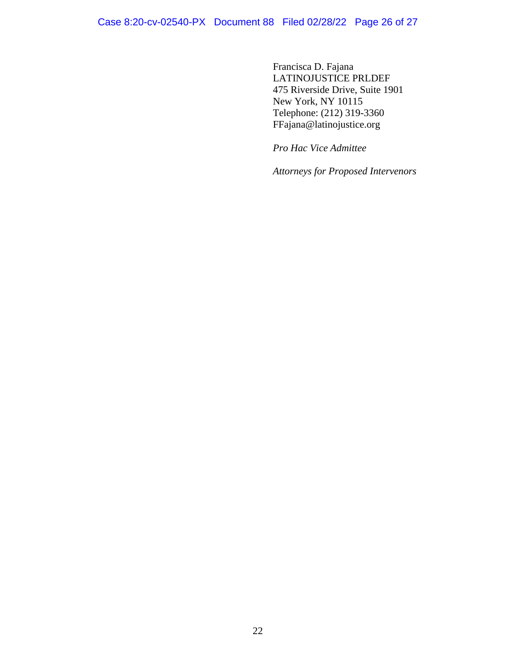Francisca D. Fajana LATINOJUSTICE PRLDEF 475 Riverside Drive, Suite 1901 New York, NY 10115 Telephone: (212) 319-3360 FFajana@latinojustice.org

*Pro Hac Vice Admittee* 

*Attorneys for Proposed Intervenors*